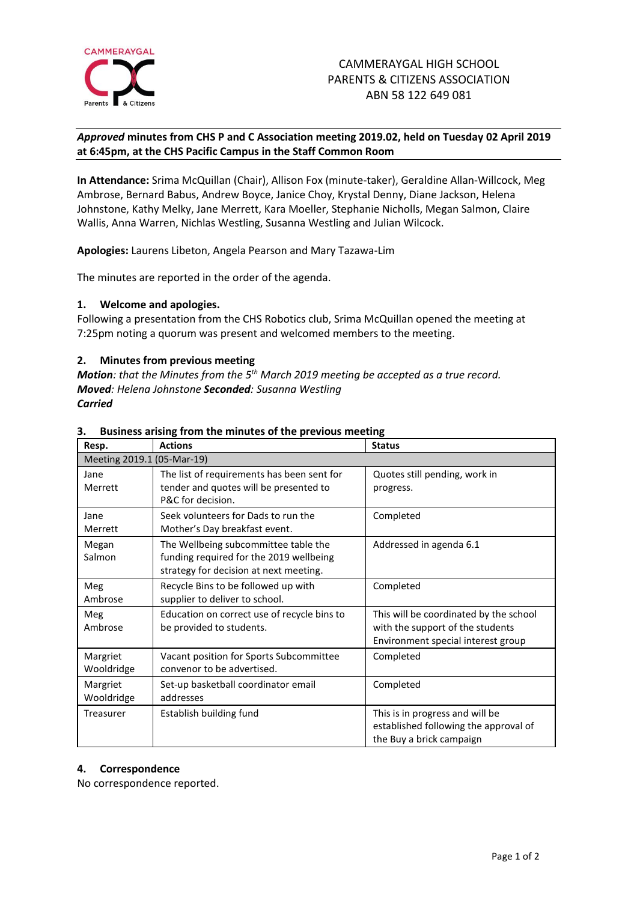

# *Approved* **minutes from CHS P and C Association meeting 2019.02, held on Tuesday 02 April 2019 at 6:45pm, at the CHS Pacific Campus in the Staff Common Room**

**In Attendance:** Srima McQuillan (Chair), Allison Fox (minute-taker), Geraldine Allan-Willcock, Meg Ambrose, Bernard Babus, Andrew Boyce, Janice Choy, Krystal Denny, Diane Jackson, Helena Johnstone, Kathy Melky, Jane Merrett, Kara Moeller, Stephanie Nicholls, Megan Salmon, Claire Wallis, Anna Warren, Nichlas Westling, Susanna Westling and Julian Wilcock.

**Apologies:** Laurens Libeton, Angela Pearson and Mary Tazawa-Lim

The minutes are reported in the order of the agenda.

#### **1. Welcome and apologies.**

Following a presentation from the CHS Robotics club, Srima McQuillan opened the meeting at 7:25pm noting a quorum was present and welcomed members to the meeting.

## **2. Minutes from previous meeting**

*Motion: that the Minutes from the 5 th March 2019 meeting be accepted as a true record. Moved: Helena Johnstone Seconded: Susanna Westling Carried*

| Resp.                      | <b>Actions</b>                                                                                                            | <b>Status</b>                                                                                                    |
|----------------------------|---------------------------------------------------------------------------------------------------------------------------|------------------------------------------------------------------------------------------------------------------|
| Meeting 2019.1 (05-Mar-19) |                                                                                                                           |                                                                                                                  |
| Jane<br>Merrett            | The list of requirements has been sent for<br>tender and quotes will be presented to<br>P&C for decision.                 | Quotes still pending, work in<br>progress.                                                                       |
| Jane<br>Merrett            | Seek volunteers for Dads to run the<br>Mother's Day breakfast event.                                                      | Completed                                                                                                        |
| Megan<br>Salmon            | The Wellbeing subcommittee table the<br>funding required for the 2019 wellbeing<br>strategy for decision at next meeting. | Addressed in agenda 6.1                                                                                          |
| Meg<br>Ambrose             | Recycle Bins to be followed up with<br>supplier to deliver to school.                                                     | Completed                                                                                                        |
| Meg<br>Ambrose             | Education on correct use of recycle bins to<br>be provided to students.                                                   | This will be coordinated by the school<br>with the support of the students<br>Environment special interest group |
| Margriet<br>Wooldridge     | Vacant position for Sports Subcommittee<br>convenor to be advertised.                                                     | Completed                                                                                                        |
| Margriet<br>Wooldridge     | Set-up basketball coordinator email<br>addresses                                                                          | Completed                                                                                                        |
| Treasurer                  | Establish building fund                                                                                                   | This is in progress and will be<br>established following the approval of<br>the Buy a brick campaign             |

#### **3. Business arising from the minutes of the previous meeting**

#### **4. Correspondence**

No correspondence reported.